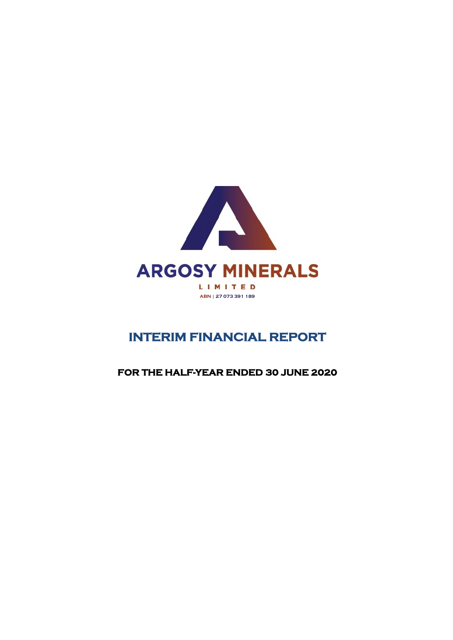

# **INTERIM FINANCIAL REPORT**

### **FOR THE HALF-YEAR ENDED 30 JUNE 2020**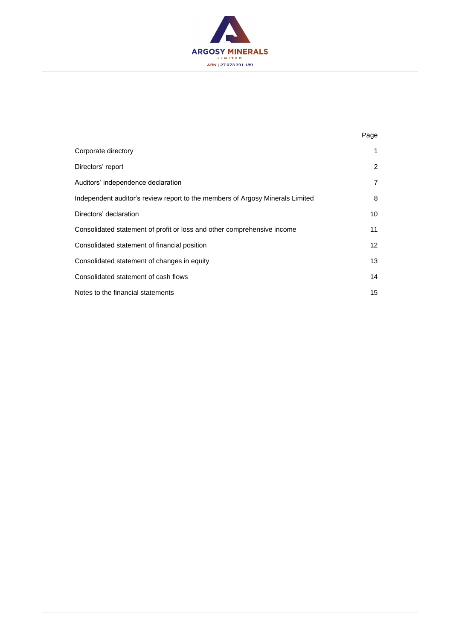

|                                                                               | Page           |
|-------------------------------------------------------------------------------|----------------|
| Corporate directory                                                           | 1              |
| Directors' report                                                             | 2              |
| Auditors' independence declaration                                            | $\overline{7}$ |
| Independent auditor's review report to the members of Argosy Minerals Limited | 8              |
| Directors' declaration                                                        | 10             |
| Consolidated statement of profit or loss and other comprehensive income       | 11             |
| Consolidated statement of financial position                                  | 12             |
| Consolidated statement of changes in equity                                   | 13             |
| Consolidated statement of cash flows                                          | 14             |
| Notes to the financial statements                                             | 15             |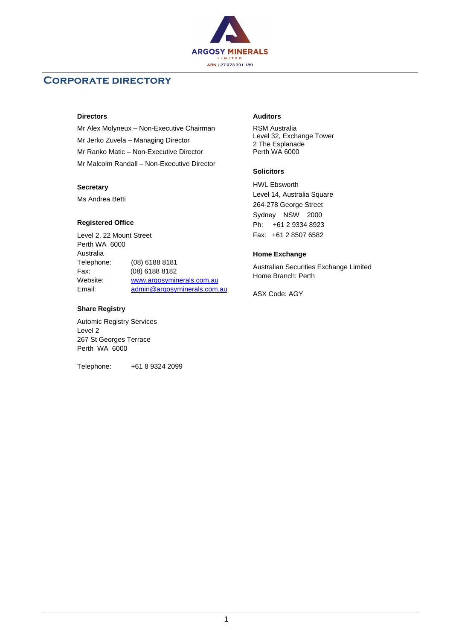

### **Corporate directory**

#### **Directors**

Mr Alex Molyneux – Non-Executive Chairman Mr Jerko Zuvela – Managing Director Mr Ranko Matic – Non-Executive Director Mr Malcolm Randall – Non-Executive Director

#### **Secretary**

Ms Andrea Betti

#### **Registered Office**

Level 2, 22 Mount Street Perth WA 6000 Australia Telephone: (08) 6188 8181 Fax: (08) 6188 8182 Website: [www.argosyminerals.com.au](http://www.argosyminerals.com.au/) Email: [admin@argosyminerals.com.au](mailto:admin@argosyminerals.com.au)

#### **Share Registry**

Automic Registry Services Level 2 267 St Georges Terrace Perth WA 6000

Telephone: +61 8 9324 2099

#### **Auditors**

RSM Australia Level 32, Exchange Tower 2 The Esplanade Perth WA 6000

#### **Solicitors**

HWL Ebsworth Level 14, Australia Square 264-278 George Street Sydney NSW 2000 Ph: +61 2 9334 8923 Fax: +61 2 8507 6582

#### **Home Exchange**

Australian Securities Exchange Limited Home Branch: Perth

ASX Code: AGY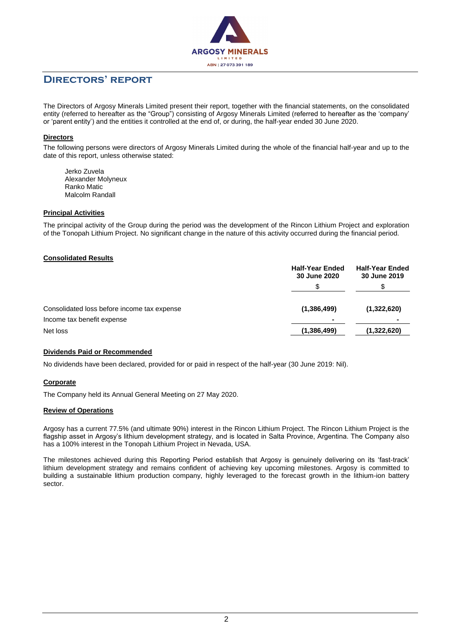

The Directors of Argosy Minerals Limited present their report, together with the financial statements, on the consolidated entity (referred to hereafter as the "Group") consisting of Argosy Minerals Limited (referred to hereafter as the 'company' or 'parent entity') and the entities it controlled at the end of, or during, the half-year ended 30 June 2020.

#### **Directors**

The following persons were directors of Argosy Minerals Limited during the whole of the financial half-year and up to the date of this report, unless otherwise stated:

Jerko Zuvela Alexander Molyneux Ranko Matic Malcolm Randall

#### **Principal Activities**

The principal activity of the Group during the period was the development of the Rincon Lithium Project and exploration of the Tonopah Lithium Project. No significant change in the nature of this activity occurred during the financial period.

#### **Consolidated Results**

|                                             | <b>Half-Year Ended</b><br>30 June 2020 | <b>Half-Year Ended</b><br>30 June 2019 |
|---------------------------------------------|----------------------------------------|----------------------------------------|
|                                             |                                        |                                        |
| Consolidated loss before income tax expense | (1,386,499)                            | (1,322,620)                            |
| Income tax benefit expense                  | $\blacksquare$                         | ۰                                      |
| Net loss                                    | (1,386,499)                            | (1,322,620)                            |

#### **Dividends Paid or Recommended**

No dividends have been declared, provided for or paid in respect of the half-year (30 June 2019: Nil).

#### **Corporate**

The Company held its Annual General Meeting on 27 May 2020.

#### **Review of Operations**

Argosy has a current 77.5% (and ultimate 90%) interest in the Rincon Lithium Project. The Rincon Lithium Project is the flagship asset in Argosy's lithium development strategy, and is located in Salta Province, Argentina. The Company also has a 100% interest in the Tonopah Lithium Project in Nevada, USA.

The milestones achieved during this Reporting Period establish that Argosy is genuinely delivering on its 'fast-track' lithium development strategy and remains confident of achieving key upcoming milestones. Argosy is committed to building a sustainable lithium production company, highly leveraged to the forecast growth in the lithium-ion battery sector.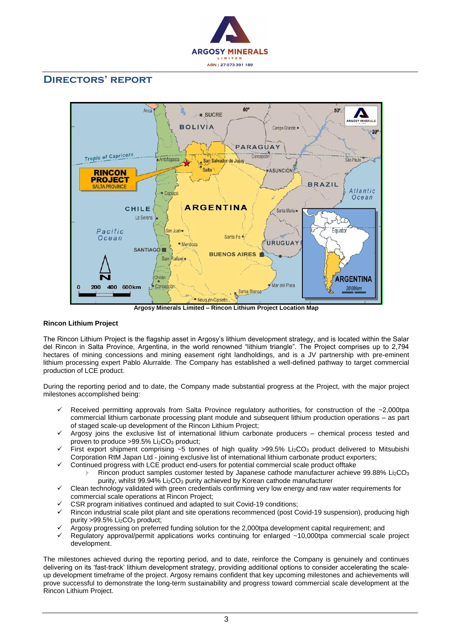



**Argosy Minerals Limited – Rincon Lithium Project Location Map**

#### **Rincon Lithium Project**

The Rincon Lithium Project is the flagship asset in Argosy's lithium development strategy, and is located within the Salar del Rincon in Salta Province, Argentina, in the world renowned "lithium triangle". The Project comprises up to 2,794 hectares of mining concessions and mining easement right landholdings, and is a JV partnership with pre-eminent lithium processing expert Pablo Alurralde. The Company has established a well-defined pathway to target commercial production of LCE product.

During the reporting period and to date, the Company made substantial progress at the Project, with the major project milestones accomplished being:

- Received permitting approvals from Salta Province regulatory authorities, for construction of the ~2,000tpa commercial lithium carbonate processing plant module and subsequent lithium production operations – as part of staged scale-up development of the Rincon Lithium Project;
- Argosy joins the exclusive list of international lithium carbonate producers chemical process tested and proven to produce >99.5% Li<sub>2</sub>CO<sub>3</sub> product;
- First export shipment comprising  $~5$  tonnes of high quality >99.5% Li<sub>2</sub>CO<sub>3</sub> product delivered to Mitsubishi Corporation RtM Japan Ltd - joining exclusive list of international lithium carbonate product exporters;
	- Continued progress with LCE product end-users for potential commercial scale product offtake
		- Rincon product samples customer tested by Japanese cathode manufacturer achieve 99.88% Li2CO3 purity, whilst 99.94% Li2CO<sup>3</sup> purity achieved by Korean cathode manufacturer
- Clean technology validated with green credentials confirming very low energy and raw water requirements for commercial scale operations at Rincon Project;
- CSR program initiatives continued and adapted to suit Covid-19 conditions;
- Rincon industrial scale pilot plant and site operations recommenced (post Covid-19 suspension), producing high purity >99.5% Li<sub>2</sub>CO<sub>3</sub> product;
- Argosy progressing on preferred funding solution for the 2,000tpa development capital requirement; and
- Regulatory approval/permit applications works continuing for enlarged ~10,000tpa commercial scale project development.

The milestones achieved during the reporting period, and to date, reinforce the Company is genuinely and continues delivering on its 'fast-track' lithium development strategy, providing additional options to consider accelerating the scaleup development timeframe of the project. Argosy remains confident that key upcoming milestones and achievements will prove successful to demonstrate the long-term sustainability and progress toward commercial scale development at the Rincon Lithium Project.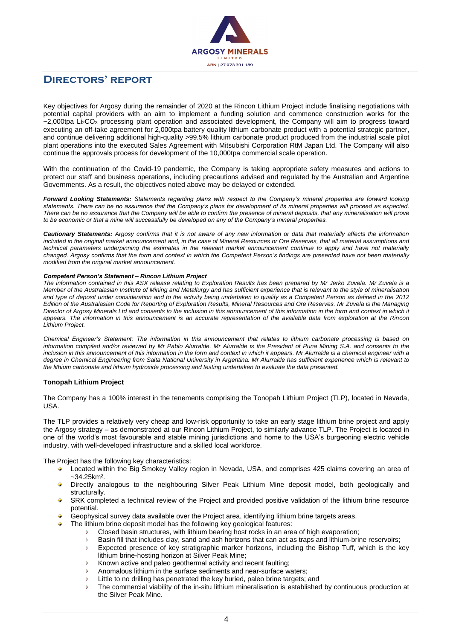

Key objectives for Argosy during the remainder of 2020 at the Rincon Lithium Project include finalising negotiations with potential capital providers with an aim to implement a funding solution and commence construction works for the ~2,000tpa Li<sub>2</sub>CO<sub>3</sub> processing plant operation and associated development, the Company will aim to progress toward executing an off-take agreement for 2,000tpa battery quality lithium carbonate product with a potential strategic partner, and continue delivering additional high-quality >99.5% lithium carbonate product produced from the industrial scale pilot plant operations into the executed Sales Agreement with Mitsubishi Corporation RtM Japan Ltd. The Company will also continue the approvals process for development of the 10,000tpa commercial scale operation.

With the continuation of the Covid-19 pandemic, the Company is taking appropriate safety measures and actions to protect our staff and business operations, including precautions advised and regulated by the Australian and Argentine Governments. As a result, the objectives noted above may be delayed or extended.

*Forward Looking Statements: Statements regarding plans with respect to the Company's mineral properties are forward looking statements. There can be no assurance that the Company's plans for development of its mineral properties will proceed as expected. There can be no assurance that the Company will be able to confirm the presence of mineral deposits, that any mineralisation will prove to be economic or that a mine will successfully be developed on any of the Company's mineral properties.*

*Cautionary Statements: Argosy confirms that it is not aware of any new information or data that materially affects the information*  included in the original market announcement and, in the case of Mineral Resources or Ore Reserves, that all material assumptions and *technical parameters underpinning the estimates in the relevant market announcement continue to apply and have not materially changed. Argosy confirms that the form and context in which the Competent Person's findings are presented have not been materially modified from the original market announcement.*

#### *Competent Person's Statement – Rincon Lithium Project*

*The information contained in this ASX release relating to Exploration Results has been prepared by Mr Jerko Zuvela. Mr Zuvela is a Member of the Australasian Institute of Mining and Metallurgy and has sufficient experience that is relevant to the style of mineralisation and type of deposit under consideration and to the activity being undertaken to qualify as a Competent Person as defined in the 2012 Edition of the Australasian Code for Reporting of Exploration Results, Mineral Resources and Ore Reserves. Mr Zuvela is the Managing Director of Argosy Minerals Ltd and consents to the inclusion in this announcement of this information in the form and context in which it appears. The information in this announcement is an accurate representation of the available data from exploration at the Rincon Lithium Project.*

*Chemical Engineer's Statement: The information in this announcement that relates to lithium carbonate processing is based on*  information compiled and/or reviewed by Mr Pablo Alurralde. Mr Alurralde is the President of Puna Mining S.A. and consents to the inclusion in this announcement of this information in the form and context in which it appears. Mr Alurralde is a chemical engineer with a *degree in Chemical Engineering from Salta National University in Argentina. Mr Alurralde has sufficient experience which is relevant to the lithium carbonate and lithium hydroxide processing and testing undertaken to evaluate the data presented.*

#### **Tonopah Lithium Project**

The Company has a 100% interest in the tenements comprising the Tonopah Lithium Project (TLP), located in Nevada, USA.

The TLP provides a relatively very cheap and low-risk opportunity to take an early stage lithium brine project and apply the Argosy strategy – as demonstrated at our Rincon Lithium Project, to similarly advance TLP. The Project is located in one of the world's most favourable and stable mining jurisdictions and home to the USA's burgeoning electric vehicle industry, with well-developed infrastructure and a skilled local workforce.

The Project has the following key characteristics:

- Located within the Big Smokey Valley region in Nevada, USA, and comprises 425 claims covering an area of ~34.25km².
- Directly analogous to the neighbouring Silver Peak Lithium Mine deposit model, both geologically and structurally.
- SRK completed a technical review of the Project and provided positive validation of the lithium brine resource potential.
- Geophysical survey data available over the Project area, identifying lithium brine targets areas.
	- The lithium brine deposit model has the following key geological features:
		- Closed basin structures, with lithium bearing host rocks in an area of high evaporation;
		- Basin fill that includes clay, sand and ash horizons that can act as traps and lithium-brine reservoirs;
		- Expected presence of key stratigraphic marker horizons, including the Bishop Tuff, which is the key  $\blacktriangleright$ lithium brine-hosting horizon at Silver Peak Mine;
		- Known active and paleo geothermal activity and recent faulting;
		- Anomalous lithium in the surface sediments and near-surface waters;
		- Little to no drilling has penetrated the key buried, paleo brine targets; and
		- The commercial viability of the in-situ lithium mineralisation is established by continuous production at the Silver Peak Mine.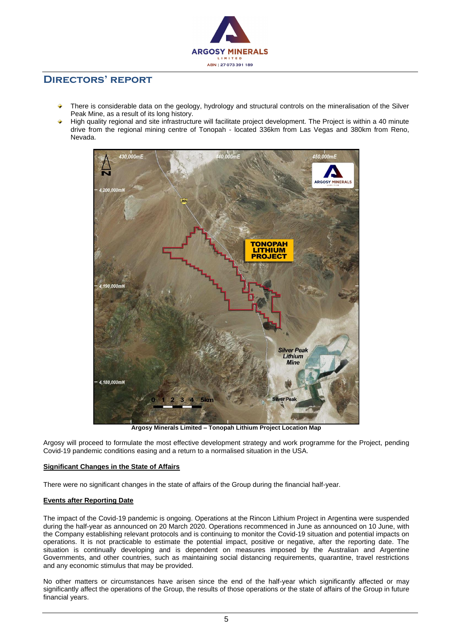

- There is considerable data on the geology, hydrology and structural controls on the mineralisation of the Silver Peak Mine, as a result of its long history.
- High quality regional and site infrastructure will facilitate project development. The Project is within a 40 minute drive from the regional mining centre of Tonopah - located 336km from Las Vegas and 380km from Reno, Nevada.



**Argosy Minerals Limited – Tonopah Lithium Project Location Map**

Argosy will proceed to formulate the most effective development strategy and work programme for the Project, pending Covid-19 pandemic conditions easing and a return to a normalised situation in the USA.

#### **Significant Changes in the State of Affairs**

There were no significant changes in the state of affairs of the Group during the financial half-year.

#### **Events after Reporting Date**

The impact of the Covid-19 pandemic is ongoing. Operations at the Rincon Lithium Project in Argentina were suspended during the half-year as announced on 20 March 2020. Operations recommenced in June as announced on 10 June, with the Company establishing relevant protocols and is continuing to monitor the Covid-19 situation and potential impacts on operations. It is not practicable to estimate the potential impact, positive or negative, after the reporting date. The situation is continually developing and is dependent on measures imposed by the Australian and Argentine Governments, and other countries, such as maintaining social distancing requirements, quarantine, travel restrictions and any economic stimulus that may be provided.

No other matters or circumstances have arisen since the end of the half-year which significantly affected or may significantly affect the operations of the Group, the results of those operations or the state of affairs of the Group in future financial years.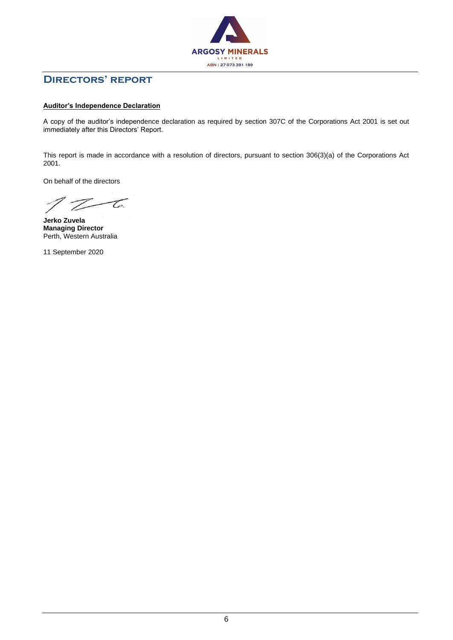

#### **Auditor's Independence Declaration**

A copy of the auditor's independence declaration as required by section 307C of the Corporations Act 2001 is set out immediately after this Directors' Report.

This report is made in accordance with a resolution of directors, pursuant to section 306(3)(a) of the Corporations Act 2001.

On behalf of the directors

 $Z - 6$ 

**Jerko Zuvela Managing Director** Perth, Western Australia

11 September 2020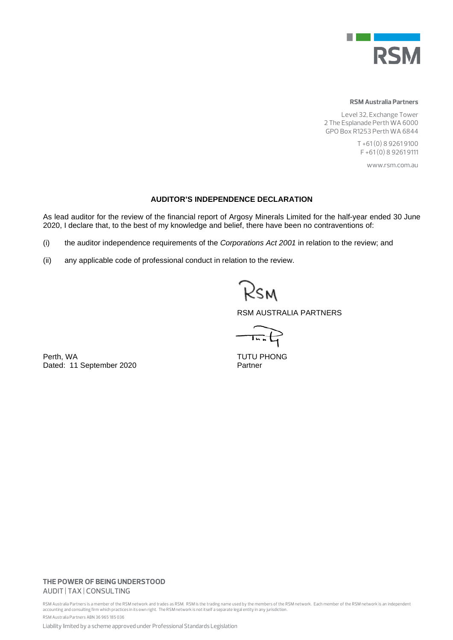

#### **RSM Australia Partners**

Level 32, Exchange Tower 2 The Esplanade Perth WA 6000 GPO Box R1253 Perth WA 6844

> T +61 (0) 8 9261 9100 F +61 (0) 8 9261 9111

> > www.rsm.com.au

#### **AUDITOR'S INDEPENDENCE DECLARATION**

As lead auditor for the review of the financial report of Argosy Minerals Limited for the half-year ended 30 June 2020, I declare that, to the best of my knowledge and belief, there have been no contraventions of:

- (i) the auditor independence requirements of the *Corporations Act 2001* in relation to the review; and
- (ii) any applicable code of professional conduct in relation to the review.

RSM

RSM AUSTRALIA PARTNERS

 $\overrightarrow{Im}$ 

Perth, WA<br>
Dated: 11 September 2020<br>
Partner Partner Dated: 11 September 2020

#### **THE POWER OF BEING UNDERSTOOD** AUDIT | TAX | CONSULTING

RSM Australia Partners is a member of the RSM network and trades as RSM. RSM is the trading name used by the members of the RSM network. Each member of the RSM network is an independent accounting and consulting firm which practices in its own right. The RSM network is not itself a separate legal entity in any jurisdiction. RSM Australia Partners ABN 36 965 185 036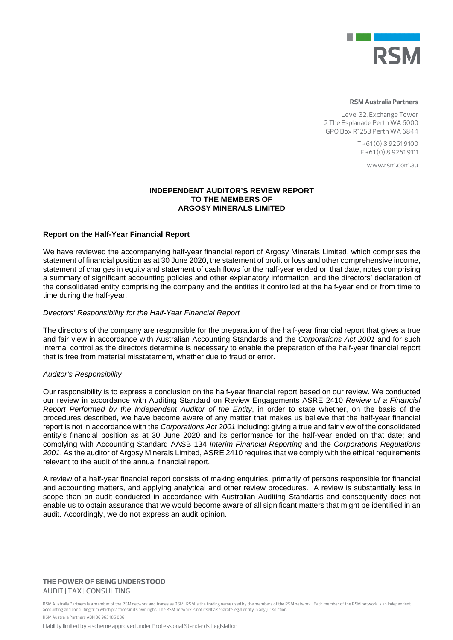

#### **RSM Australia Partners**

Level 32, Exchange Tower 2 The Esplanade Perth WA 6000 GPO Box R1253 Perth WA 6844

> T +61 (0) 8 9261 9100 F +61 (0) 8 9261 9111

> > www.rsm.com.au

#### **INDEPENDENT AUDITOR'S REVIEW REPORT TO THE MEMBERS OF ARGOSY MINERALS LIMITED**

#### **Report on the Half-Year Financial Report**

We have reviewed the accompanying half-year financial report of Argosy Minerals Limited, which comprises the statement of financial position as at 30 June 2020, the statement of profit or loss and other comprehensive income, statement of changes in equity and statement of cash flows for the half-year ended on that date, notes comprising a summary of significant accounting policies and other explanatory information, and the directors' declaration of the consolidated entity comprising the company and the entities it controlled at the half-year end or from time to time during the half-year.

#### *Directors' Responsibility for the Half-Year Financial Report*

The directors of the company are responsible for the preparation of the half-year financial report that gives a true and fair view in accordance with Australian Accounting Standards and the *Corporations Act 2001* and for such internal control as the directors determine is necessary to enable the preparation of the half-year financial report that is free from material misstatement, whether due to fraud or error.

#### *Auditor's Responsibility*

Our responsibility is to express a conclusion on the half-year financial report based on our review. We conducted our review in accordance with Auditing Standard on Review Engagements ASRE 2410 *Review of a Financial Report Performed by the Independent Auditor of the Entity*, in order to state whether, on the basis of the procedures described, we have become aware of any matter that makes us believe that the half-year financial report is not in accordance with the *Corporations Act 2001* including: giving a true and fair view of the consolidated entity's financial position as at 30 June 2020 and its performance for the half-year ended on that date; and complying with Accounting Standard AASB 134 *Interim Financial Reporting* and the *Corporations Regulations 2001*. As the auditor of Argosy Minerals Limited, ASRE 2410 requires that we comply with the ethical requirements relevant to the audit of the annual financial report.

A review of a half-year financial report consists of making enquiries, primarily of persons responsible for financial and accounting matters, and applying analytical and other review procedures. A review is substantially less in scope than an audit conducted in accordance with Australian Auditing Standards and consequently does not enable us to obtain assurance that we would become aware of all significant matters that might be identified in an audit. Accordingly, we do not express an audit opinion.

#### **THE POWER OF BEING UNDERSTOOD** AUDIT | TAX | CONSULTING

RSM Australia Partners is a member of the RSM network and trades as RSM. RSM is the trading name used by the members of the RSM network. Each member of the RSM network is an independent accounting and consulting firm which practices in its own right. The RSM network is not itself a separate legal entity in any jurisdiction. RSM Australia Partners ABN 36 965 185 036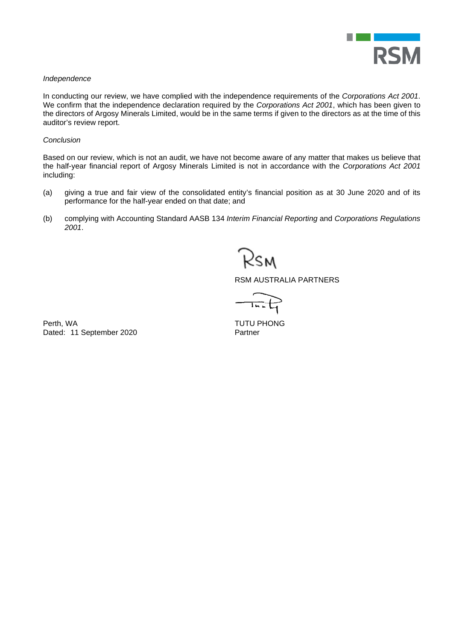

#### *Independence*

In conducting our review, we have complied with the independence requirements of the *Corporations Act 2001*. We confirm that the independence declaration required by the *Corporations Act 2001*, which has been given to the directors of Argosy Minerals Limited, would be in the same terms if given to the directors as at the time of this auditor's review report.

#### *Conclusion*

Based on our review, which is not an audit, we have not become aware of any matter that makes us believe that the half-year financial report of Argosy Minerals Limited is not in accordance with the *Corporations Act 2001*  including:

- (a) giving a true and fair view of the consolidated entity's financial position as at 30 June 2020 and of its performance for the half-year ended on that date; and
- (b) complying with Accounting Standard AASB 134 *Interim Financial Reporting* and *Corporations Regulations 2001*.

Ksm

RSM AUSTRALIA PARTNERS

 $\overline{I_{n,n}}$ 

Perth, WA TUTU PHONG Dated: 11 September 2020 Partner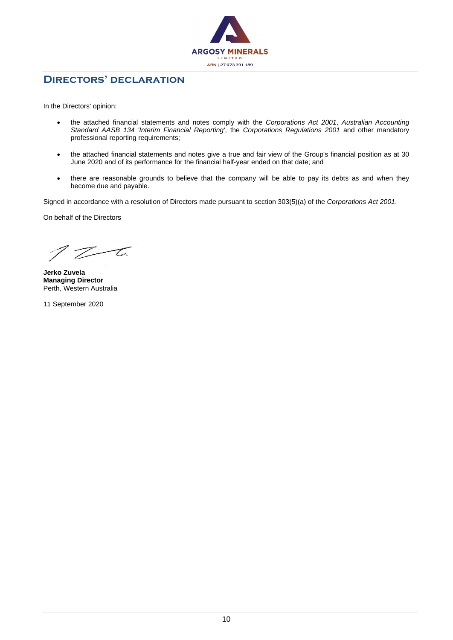

### **Directors' declaration**

In the Directors' opinion:

- the attached financial statements and notes comply with the *Corporations Act 2001*, *Australian Accounting Standard AASB 134 'Interim Financial Reporting'*, the *Corporations Regulations 2001* and other mandatory professional reporting requirements;
- the attached financial statements and notes give a true and fair view of the Group's financial position as at 30 June 2020 and of its performance for the financial half-year ended on that date; and
- there are reasonable grounds to believe that the company will be able to pay its debts as and when they become due and payable.

Signed in accordance with a resolution of Directors made pursuant to section 303(5)(a) of the *Corporations Act 2001*.

On behalf of the Directors

 $Z_{\mathcal{L}}$ 

**Jerko Zuvela Managing Director** Perth, Western Australia

11 September 2020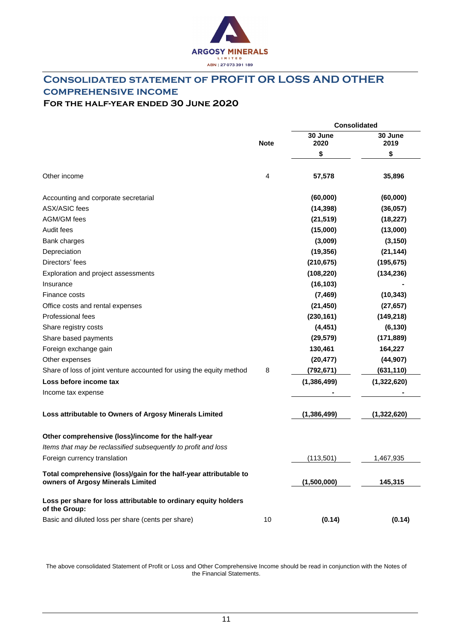

# **Consolidated statement of PROFIT OR LOSS AND OTHER comprehensive income**

# **For the half-year ended 30 June 2020**

|                                                                                                        |             | <b>Consolidated</b> |                 |  |
|--------------------------------------------------------------------------------------------------------|-------------|---------------------|-----------------|--|
|                                                                                                        | <b>Note</b> | 30 June<br>2020     | 30 June<br>2019 |  |
|                                                                                                        |             | \$                  | \$              |  |
| Other income                                                                                           | 4           | 57,578              | 35,896          |  |
| Accounting and corporate secretarial                                                                   |             | (60,000)            | (60,000)        |  |
| <b>ASX/ASIC fees</b>                                                                                   |             | (14, 398)           | (36,057)        |  |
| AGM/GM fees                                                                                            |             | (21, 519)           | (18, 227)       |  |
| Audit fees                                                                                             |             | (15,000)            | (13,000)        |  |
| Bank charges                                                                                           |             | (3,009)             | (3, 150)        |  |
| Depreciation                                                                                           |             | (19, 356)           | (21, 144)       |  |
| Directors' fees                                                                                        |             | (210, 675)          | (195, 675)      |  |
| Exploration and project assessments                                                                    |             | (108, 220)          | (134, 236)      |  |
| Insurance                                                                                              |             | (16, 103)           |                 |  |
| Finance costs                                                                                          |             | (7, 469)            | (10, 343)       |  |
| Office costs and rental expenses                                                                       |             | (21, 450)           | (27, 657)       |  |
| Professional fees                                                                                      |             | (230, 161)          | (149, 218)      |  |
| Share registry costs                                                                                   |             | (4, 451)            | (6, 130)        |  |
| Share based payments                                                                                   |             | (29, 579)           | (171, 889)      |  |
| Foreign exchange gain                                                                                  |             | 130,461             | 164,227         |  |
| Other expenses                                                                                         |             | (20, 477)           | (44, 907)       |  |
| Share of loss of joint venture accounted for using the equity method                                   | 8           | (792,671)           | (631, 110)      |  |
| Loss before income tax                                                                                 |             | (1,386,499)         | (1,322,620)     |  |
| Income tax expense                                                                                     |             |                     |                 |  |
| Loss attributable to Owners of Argosy Minerals Limited                                                 |             | (1, 386, 499)       | (1,322,620)     |  |
| Other comprehensive (loss)/income for the half-year                                                    |             |                     |                 |  |
| Items that may be reclassified subsequently to profit and loss                                         |             |                     |                 |  |
| Foreign currency translation                                                                           |             | (113, 501)          | 1,467,935       |  |
| Total comprehensive (loss)/gain for the half-year attributable to<br>owners of Argosy Minerals Limited |             | (1,500,000)         | 145,315         |  |
| Loss per share for loss attributable to ordinary equity holders<br>of the Group:                       |             |                     |                 |  |
| Basic and diluted loss per share (cents per share)                                                     | 10          | (0.14)              | (0.14)          |  |

The above consolidated Statement of Profit or Loss and Other Comprehensive Income should be read in conjunction with the Notes of the Financial Statements.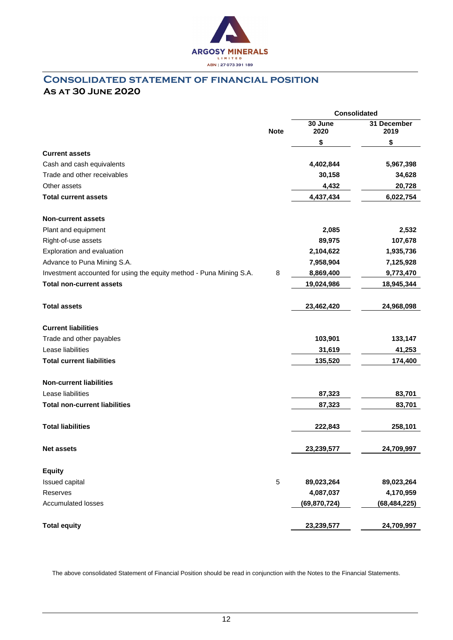

### **Consolidated statement of financial position As at 30 June 2020**

|                                                                     |             | <b>Consolidated</b> |                     |  |
|---------------------------------------------------------------------|-------------|---------------------|---------------------|--|
|                                                                     | <b>Note</b> | 30 June<br>2020     | 31 December<br>2019 |  |
|                                                                     |             | \$                  | \$                  |  |
| <b>Current assets</b>                                               |             |                     |                     |  |
| Cash and cash equivalents                                           |             | 4,402,844           | 5,967,398           |  |
| Trade and other receivables                                         |             | 30,158              | 34,628              |  |
| Other assets                                                        |             | 4,432               | 20,728              |  |
| <b>Total current assets</b>                                         |             | 4,437,434           | 6,022,754           |  |
| <b>Non-current assets</b>                                           |             |                     |                     |  |
| Plant and equipment                                                 |             | 2,085               | 2,532               |  |
| Right-of-use assets                                                 |             | 89,975              | 107,678             |  |
| Exploration and evaluation                                          |             | 2,104,622           | 1,935,736           |  |
| Advance to Puna Mining S.A.                                         |             | 7,958,904           | 7,125,928           |  |
| Investment accounted for using the equity method - Puna Mining S.A. | 8           | 8,869,400           | 9,773,470           |  |
| <b>Total non-current assets</b>                                     |             | 19,024,986          | 18,945,344          |  |
| <b>Total assets</b>                                                 |             | 23,462,420          | 24,968,098          |  |
| <b>Current liabilities</b>                                          |             |                     |                     |  |
| Trade and other payables                                            |             | 103,901             | 133,147             |  |
| Lease liabilities                                                   |             | 31,619              | 41,253              |  |
| <b>Total current liabilities</b>                                    |             | 135,520             | 174,400             |  |
| <b>Non-current liabilities</b>                                      |             |                     |                     |  |
| Lease liabilities                                                   |             | 87,323              | 83,701              |  |
| <b>Total non-current liabilities</b>                                |             | 87,323              | 83,701              |  |
| <b>Total liabilities</b>                                            |             | 222,843             | 258,101             |  |
| <b>Net assets</b>                                                   |             | 23,239,577          | 24,709,997          |  |
| <b>Equity</b>                                                       |             |                     |                     |  |
| Issued capital                                                      | $\mathbf 5$ | 89,023,264          | 89,023,264          |  |
| Reserves                                                            |             | 4,087,037           | 4,170,959           |  |
| <b>Accumulated losses</b>                                           |             | (69, 870, 724)      | (68, 484, 225)      |  |
| <b>Total equity</b>                                                 |             | 23,239,577          | 24,709,997          |  |

The above consolidated Statement of Financial Position should be read in conjunction with the Notes to the Financial Statements.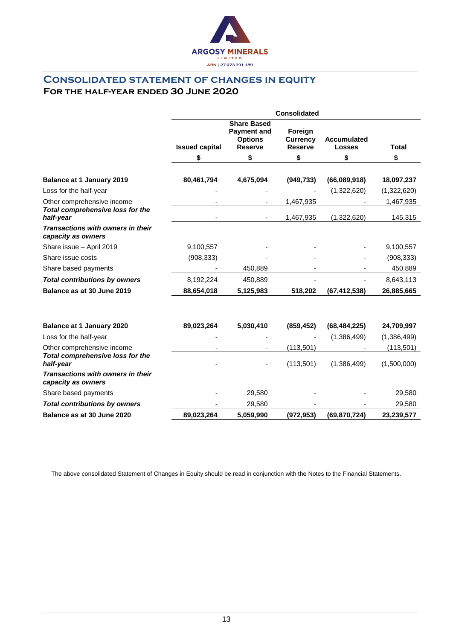

### **Consolidated statement of changes in equity For the half-year ended 30 June 2020**

|                                                                             | <b>Consolidated</b>   |                                                                              |                                              |                                     |                      |
|-----------------------------------------------------------------------------|-----------------------|------------------------------------------------------------------------------|----------------------------------------------|-------------------------------------|----------------------|
|                                                                             | <b>Issued capital</b> | <b>Share Based</b><br><b>Payment and</b><br><b>Options</b><br><b>Reserve</b> | Foreign<br><b>Currency</b><br><b>Reserve</b> | <b>Accumulated</b><br><b>Losses</b> | <b>Total</b>         |
|                                                                             | \$                    | \$                                                                           | \$                                           | \$                                  | \$                   |
| <b>Balance at 1 January 2019</b>                                            | 80,461,794            | 4,675,094                                                                    | (949, 733)                                   | (66,089,918)                        | 18,097,237           |
| Loss for the half-year                                                      |                       |                                                                              |                                              | (1,322,620)                         | (1,322,620)          |
| Other comprehensive income<br>Total comprehensive loss for the<br>half-year |                       | $\blacksquare$                                                               | 1,467,935<br>1,467,935                       | (1,322,620)                         | 1,467,935<br>145,315 |
| Transactions with owners in their<br>capacity as owners                     |                       |                                                                              |                                              |                                     |                      |
| Share issue - April 2019                                                    | 9,100,557             |                                                                              |                                              |                                     | 9,100,557            |
| Share issue costs                                                           | (908, 333)            |                                                                              |                                              |                                     | (908, 333)           |
| Share based payments                                                        |                       | 450,889                                                                      |                                              |                                     | 450,889              |
| <b>Total contributions by owners</b>                                        | 8,192,224             | 450,889                                                                      |                                              |                                     | 8,643,113            |
| Balance as at 30 June 2019                                                  | 88,654,018            | 5,125,983                                                                    | 518,202                                      | (67, 412, 538)                      | 26,885,665           |
|                                                                             |                       |                                                                              |                                              |                                     |                      |
| <b>Balance at 1 January 2020</b>                                            | 89,023,264            | 5,030,410                                                                    | (859, 452)                                   | (68, 484, 225)                      | 24,709,997           |
| Loss for the half-year                                                      |                       |                                                                              |                                              | (1,386,499)                         | (1,386,499)          |
| Other comprehensive income                                                  |                       |                                                                              | (113,501)                                    |                                     | (113, 501)           |
| Total comprehensive loss for the<br>half-year                               |                       |                                                                              | (113,501)                                    | (1,386,499)                         | (1,500,000)          |
| Transactions with owners in their<br>capacity as owners                     |                       |                                                                              |                                              |                                     |                      |
| Share based payments                                                        |                       | 29,580                                                                       |                                              |                                     | 29,580               |
| <b>Total contributions by owners</b>                                        |                       | 29,580                                                                       |                                              |                                     | 29,580               |
| Balance as at 30 June 2020                                                  | 89,023,264            | 5,059,990                                                                    | (972, 953)                                   | (69, 870, 724)                      | 23,239,577           |

The above consolidated Statement of Changes in Equity should be read in conjunction with the Notes to the Financial Statements.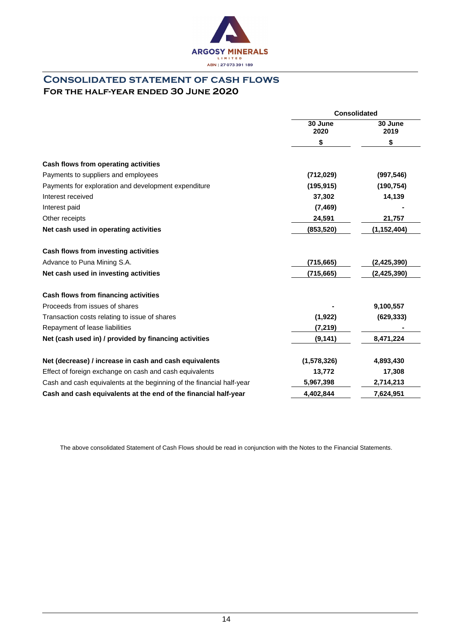

### **Consolidated statement of cash flows For the half-year ended 30 June 2020**

|                                                                       | <b>Consolidated</b> |                 |  |
|-----------------------------------------------------------------------|---------------------|-----------------|--|
|                                                                       | 30 June<br>2020     | 30 June<br>2019 |  |
|                                                                       | \$                  | \$              |  |
| Cash flows from operating activities                                  |                     |                 |  |
| Payments to suppliers and employees                                   | (712, 029)          | (997, 546)      |  |
| Payments for exploration and development expenditure                  | (195, 915)          | (190, 754)      |  |
| Interest received                                                     | 37,302              | 14,139          |  |
| Interest paid                                                         | (7, 469)            |                 |  |
| Other receipts                                                        | 24,591              | 21,757          |  |
| Net cash used in operating activities                                 | (853,520)           | (1, 152, 404)   |  |
| Cash flows from investing activities                                  |                     |                 |  |
| Advance to Puna Mining S.A.                                           | (715,665)           | (2,425,390)     |  |
| Net cash used in investing activities                                 | (715, 665)          | (2, 425, 390)   |  |
| Cash flows from financing activities                                  |                     |                 |  |
| Proceeds from issues of shares                                        |                     | 9,100,557       |  |
| Transaction costs relating to issue of shares                         | (1, 922)            | (629, 333)      |  |
| Repayment of lease liabilities                                        | (7, 219)            |                 |  |
| Net (cash used in) / provided by financing activities                 | (9, 141)            | 8,471,224       |  |
| Net (decrease) / increase in cash and cash equivalents                | (1,578,326)         | 4,893,430       |  |
| Effect of foreign exchange on cash and cash equivalents               | 13,772              | 17,308          |  |
| Cash and cash equivalents at the beginning of the financial half-year | 5,967,398           | 2,714,213       |  |
| Cash and cash equivalents at the end of the financial half-year       | 4,402,844           | 7,624,951       |  |

The above consolidated Statement of Cash Flows should be read in conjunction with the Notes to the Financial Statements.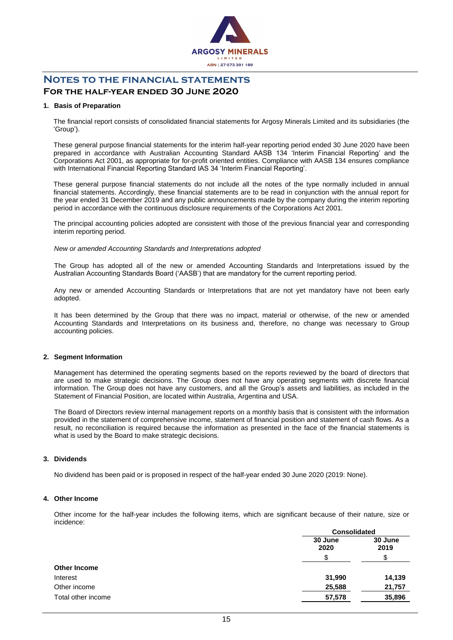

# **Notes to the financial statements**

### **For the half-year ended 30 June 2020**

#### **1. Basis of Preparation**

The financial report consists of consolidated financial statements for Argosy Minerals Limited and its subsidiaries (the 'Group').

These general purpose financial statements for the interim half-year reporting period ended 30 June 2020 have been prepared in accordance with Australian Accounting Standard AASB 134 'Interim Financial Reporting' and the Corporations Act 2001, as appropriate for for-profit oriented entities. Compliance with AASB 134 ensures compliance with International Financial Reporting Standard IAS 34 'Interim Financial Reporting'.

These general purpose financial statements do not include all the notes of the type normally included in annual financial statements. Accordingly, these financial statements are to be read in conjunction with the annual report for the year ended 31 December 2019 and any public announcements made by the company during the interim reporting period in accordance with the continuous disclosure requirements of the Corporations Act 2001.

The principal accounting policies adopted are consistent with those of the previous financial year and corresponding interim reporting period.

#### *New or amended Accounting Standards and Interpretations adopted*

The Group has adopted all of the new or amended Accounting Standards and Interpretations issued by the Australian Accounting Standards Board ('AASB') that are mandatory for the current reporting period.

Any new or amended Accounting Standards or Interpretations that are not yet mandatory have not been early adopted.

It has been determined by the Group that there was no impact, material or otherwise, of the new or amended Accounting Standards and Interpretations on its business and, therefore, no change was necessary to Group accounting policies.

#### **2. Segment Information**

Management has determined the operating segments based on the reports reviewed by the board of directors that are used to make strategic decisions. The Group does not have any operating segments with discrete financial information. The Group does not have any customers, and all the Group's assets and liabilities, as included in the Statement of Financial Position, are located within Australia, Argentina and USA.

The Board of Directors review internal management reports on a monthly basis that is consistent with the information provided in the statement of comprehensive income, statement of financial position and statement of cash flows. As a result, no reconciliation is required because the information as presented in the face of the financial statements is what is used by the Board to make strategic decisions.

#### **3. Dividends**

No dividend has been paid or is proposed in respect of the half-year ended 30 June 2020 (2019: None).

#### **4. Other Income**

Other income for the half-year includes the following items, which are significant because of their nature, size or incidence:

|                     |                 | <b>Consolidated</b> |  |
|---------------------|-----------------|---------------------|--|
|                     | 30 June<br>2020 | 30 June<br>2019     |  |
|                     |                 |                     |  |
| <b>Other Income</b> |                 |                     |  |
| Interest            | 31,990          | 14,139              |  |
| Other income        | 25,588          | 21,757              |  |
| Total other income  | 57,578          | 35,896              |  |
|                     |                 |                     |  |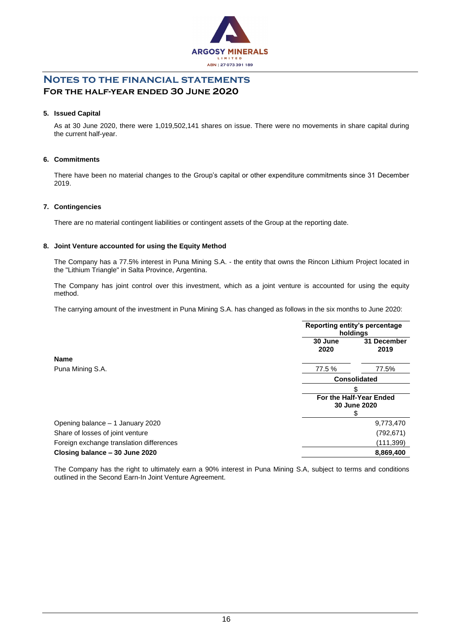

### **Notes to the financial statements For the half-year ended 30 June 2020**

#### **5. Issued Capital**

As at 30 June 2020, there were 1,019,502,141 shares on issue. There were no movements in share capital during the current half-year.

#### **6. Commitments**

There have been no material changes to the Group's capital or other expenditure commitments since 31 December 2019.

#### **7. Contingencies**

There are no material contingent liabilities or contingent assets of the Group at the reporting date.

#### **8. Joint Venture accounted for using the Equity Method**

The Company has a 77.5% interest in Puna Mining S.A. - the entity that owns the Rincon Lithium Project located in the "Lithium Triangle" in Salta Province, Argentina.

The Company has joint control over this investment, which as a joint venture is accounted for using the equity method.

The carrying amount of the investment in Puna Mining S.A. has changed as follows in the six months to June 2020:

|                                          | Reporting entity's percentage<br>holdings |                                         |  |
|------------------------------------------|-------------------------------------------|-----------------------------------------|--|
|                                          | 30 June<br>2020                           | 31 December<br>2019                     |  |
| <b>Name</b>                              |                                           |                                         |  |
| Puna Mining S.A.                         | 77.5 %                                    | 77.5%                                   |  |
|                                          | <b>Consolidated</b>                       |                                         |  |
|                                          | \$                                        |                                         |  |
|                                          |                                           | For the Half-Year Ended<br>30 June 2020 |  |
| Opening balance - 1 January 2020         |                                           | 9,773,470                               |  |
| Share of losses of joint venture         |                                           | (792, 671)                              |  |
| Foreign exchange translation differences | (111,399)                                 |                                         |  |
| Closing balance - 30 June 2020           |                                           | 8,869,400                               |  |

The Company has the right to ultimately earn a 90% interest in Puna Mining S.A, subject to terms and conditions outlined in the Second Earn-In Joint Venture Agreement.